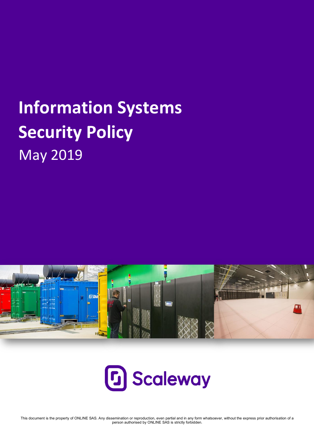# **Information Systems Security Policy**  May 2019





This document is the property of ONLINE SAS. Any dissemination or reproduction, even partial and in any form whatsoever, without the express prior authorisation of a person authorised by ONLINE SAS is strictly forbidden.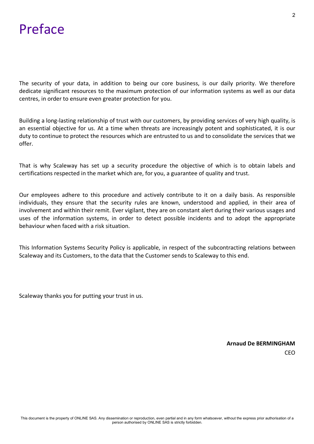# Preface

The security of your data, in addition to being our core business, is our daily priority. We therefore dedicate significant resources to the maximum protection of our information systems as well as our data centres, in order to ensure even greater protection for you.

Building a long-lasting relationship of trust with our customers, by providing services of very high quality, is an essential objective for us. At a time when threats are increasingly potent and sophisticated, it is our duty to continue to protect the resources which are entrusted to us and to consolidate the services that we offer.

That is why Scaleway has set up a security procedure the objective of which is to obtain labels and certifications respected in the market which are, for you, a guarantee of quality and trust.

Our employees adhere to this procedure and actively contribute to it on a daily basis. As responsible individuals, they ensure that the security rules are known, understood and applied, in their area of involvement and within their remit. Ever vigilant, they are on constant alert during their various usages and uses of the information systems, in order to detect possible incidents and to adopt the appropriate behaviour when faced with a risk situation.

This Information Systems Security Policy is applicable, in respect of the subcontracting relations between Scaleway and its Customers, to the data that the Customer sends to Scaleway to this end.

Scaleway thanks you for putting your trust in us.

 **Arnaud De BERMINGHAM**  CEO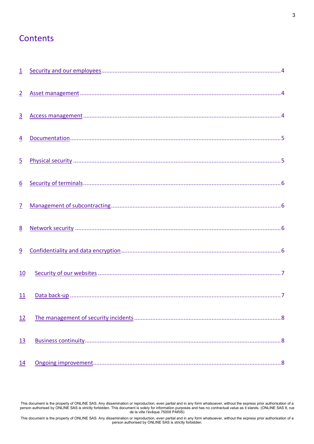#### **Contents**

| $\overline{1}$   |  |
|------------------|--|
| $\overline{2}$   |  |
| $\overline{3}$   |  |
| $\overline{4}$   |  |
| $\overline{5}$   |  |
| $6 \overline{6}$ |  |
| $\overline{Z}$   |  |
| 8                |  |
| 9                |  |
| 10               |  |
| 11               |  |
| 12               |  |
| <u>13</u>        |  |
| 14               |  |

This document is the property of ONLINE SAS. Any dissemination or reproduction, even partial and in any form whatsoever, without the express prior authorisation of a person authorised by ONLINE SAS is strictly forbidden. This document is solely for information purposes and has no contractual value as it stands. (ONLINE SAS 8, rue de la ville l'évêque 75008 PARIS)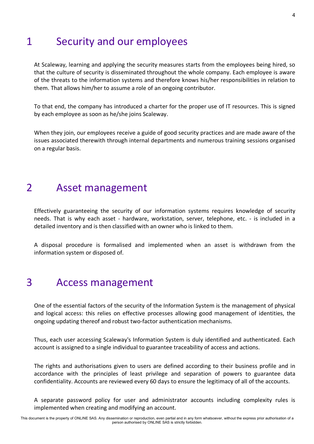#### 1 Security and our employees

At Scaleway, learning and applying the security measures starts from the employees being hired, so that the culture of security is disseminated throughout the whole company. Each employee is aware of the threats to the information systems and therefore knows his/her responsibilities in relation to them. That allows him/her to assume a role of an ongoing contributor.

To that end, the company has introduced a charter for the proper use of IT resources. This is signed by each employee as soon as he/she joins Scaleway.

When they join, our employees receive a guide of good security practices and are made aware of the issues associated therewith through internal departments and numerous training sessions organised on a regular basis.

#### 2 Asset management

Effectively guaranteeing the security of our information systems requires knowledge of security needs. That is why each asset - hardware, workstation, server, telephone, etc. - is included in a detailed inventory and is then classified with an owner who is linked to them.

A disposal procedure is formalised and implemented when an asset is withdrawn from the information system or disposed of.

#### 3 Access management

One of the essential factors of the security of the Information System is the management of physical and logical access: this relies on effective processes allowing good management of identities, the ongoing updating thereof and robust two-factor authentication mechanisms.

Thus, each user accessing Scaleway's Information System is duly identified and authenticated. Each account is assigned to a single individual to guarantee traceability of access and actions.

The rights and authorisations given to users are defined according to their business profile and in accordance with the principles of least privilege and separation of powers to guarantee data confidentiality. Accounts are reviewed every 60 days to ensure the legitimacy of all of the accounts.

A separate password policy for user and administrator accounts including complexity rules is implemented when creating and modifying an account.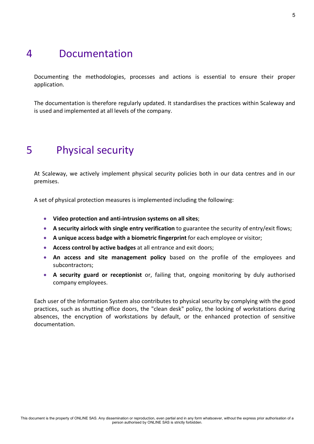## 4 Documentation

Documenting the methodologies, processes and actions is essential to ensure their proper application.

The documentation is therefore regularly updated. It standardises the practices within Scaleway and is used and implemented at all levels of the company.

# 5 Physical security

At Scaleway, we actively implement physical security policies both in our data centres and in our premises.

A set of physical protection measures is implemented including the following:

- **Video protection and anti-intrusion systems on all sites**;
- **A security airlock with single entry verification** to guarantee the security of entry/exit flows;
- **A unique access badge with a biometric fingerprint** for each employee or visitor;
- **Access control by active badges** at all entrance and exit doors;
- **An access and site management policy** based on the profile of the employees and subcontractors;
- **A security guard or receptionist** or, failing that, ongoing monitoring by duly authorised company employees.

Each user of the Information System also contributes to physical security by complying with the good practices, such as shutting office doors, the "clean desk" policy, the locking of workstations during absences, the encryption of workstations by default, or the enhanced protection of sensitive documentation.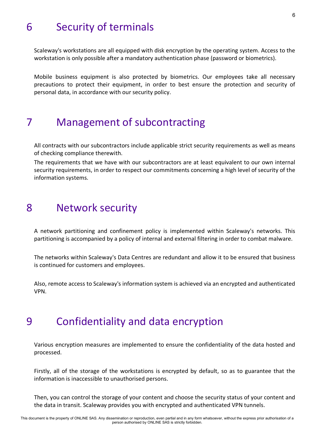# 6 Security of terminals

Scaleway's workstations are all equipped with disk encryption by the operating system. Access to the workstation is only possible after a mandatory authentication phase (password or biometrics).

Mobile business equipment is also protected by biometrics. Our employees take all necessary precautions to protect their equipment, in order to best ensure the protection and security of personal data, in accordance with our security policy.

#### 7 Management of subcontracting

All contracts with our subcontractors include applicable strict security requirements as well as means of checking compliance therewith.

The requirements that we have with our subcontractors are at least equivalent to our own internal security requirements, in order to respect our commitments concerning a high level of security of the information systems.

#### 8 Network security

A network partitioning and confinement policy is implemented within Scaleway's networks. This partitioning is accompanied by a policy of internal and external filtering in order to combat malware.

The networks within Scaleway's Data Centres are redundant and allow it to be ensured that business is continued for customers and employees.

Also, remote access to Scaleway's information system is achieved via an encrypted and authenticated VPN.

#### 9 Confidentiality and data encryption

Various encryption measures are implemented to ensure the confidentiality of the data hosted and processed.

Firstly, all of the storage of the workstations is encrypted by default, so as to guarantee that the information is inaccessible to unauthorised persons.

Then, you can control the storage of your content and choose the security status of your content and the data in transit. Scaleway provides you with encrypted and authenticated VPN tunnels.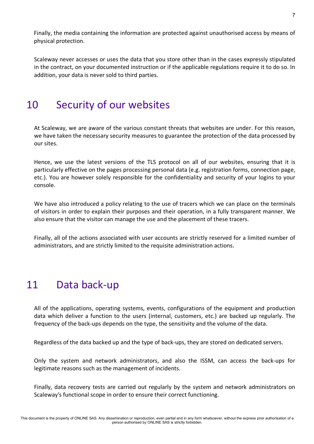Finally, the media containing the information are protected against unauthorised access by means of physical protection.

Scaleway never accesses or uses the data that you store other than in the cases expressly stipulated in the contract, on your documented instruction or if the applicable regulations require it to do so. In addition, your data is never sold to third parties.

# 10 Security of our websites

At Scaleway, we are aware of the various constant threats that websites are under. For this reason, we have taken the necessary security measures to guarantee the protection of the data processed by our sites.

Hence, we use the latest versions of the TLS protocol on all of our websites, ensuring that it is particularly effective on the pages processing personal data (e.g. registration forms, connection page, etc.). You are however solely responsible for the confidentiality and security of your logins to your console.

We have also introduced a policy relating to the use of tracers which we can place on the terminals of visitors in order to explain their purposes and their operation, in a fully transparent manner. We also ensure that the visitor can manage the use and the placement of these tracers.

Finally, all of the actions associated with user accounts are strictly reserved for a limited number of administrators, and are strictly limited to the requisite administration actions.

# 11 Data back-up

All of the applications, operating systems, events, configurations of the equipment and production data which deliver a function to the users (internal, customers, etc.) are backed up regularly. The frequency of the back-ups depends on the type, the sensitivity and the volume of the data.

Regardless of the data backed up and the type of back-ups, they are stored on dedicated servers.

Only the system and network administrators, and also the ISSM, can access the back-ups for legitimate reasons such as the management of incidents.

Finally, data recovery tests are carried out regularly by the system and network administrators on Scaleway's functional scope in order to ensure their correct functioning.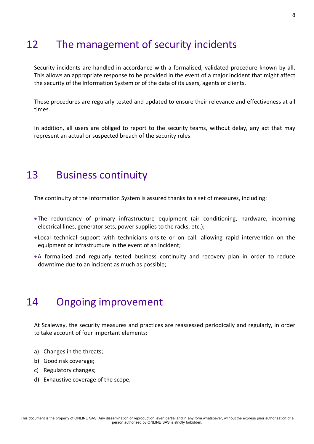# 12 The management of security incidents

Security incidents are handled in accordance with a formalised, validated procedure known by all**.** This allows an appropriate response to be provided in the event of a major incident that might affect the security of the Information System or of the data of its users, agents or clients.

These procedures are regularly tested and updated to ensure their relevance and effectiveness at all times.

In addition, all users are obliged to report to the security teams, without delay, any act that may represent an actual or suspected breach of the security rules.

#### 13 Business continuity

The continuity of the Information System is assured thanks to a set of measures, including:

- •The redundancy of primary infrastructure equipment (air conditioning, hardware, incoming electrical lines, generator sets, power supplies to the racks, etc.);
- Local technical support with technicians onsite or on call, allowing rapid intervention on the equipment or infrastructure in the event of an incident;
- •A formalised and regularly tested business continuity and recovery plan in order to reduce downtime due to an incident as much as possible;

# 14 Ongoing improvement

At Scaleway, the security measures and practices are reassessed periodically and regularly, in order to take account of four important elements:

- a) Changes in the threats;
- b) Good risk coverage;
- c) Regulatory changes;
- d) Exhaustive coverage of the scope.